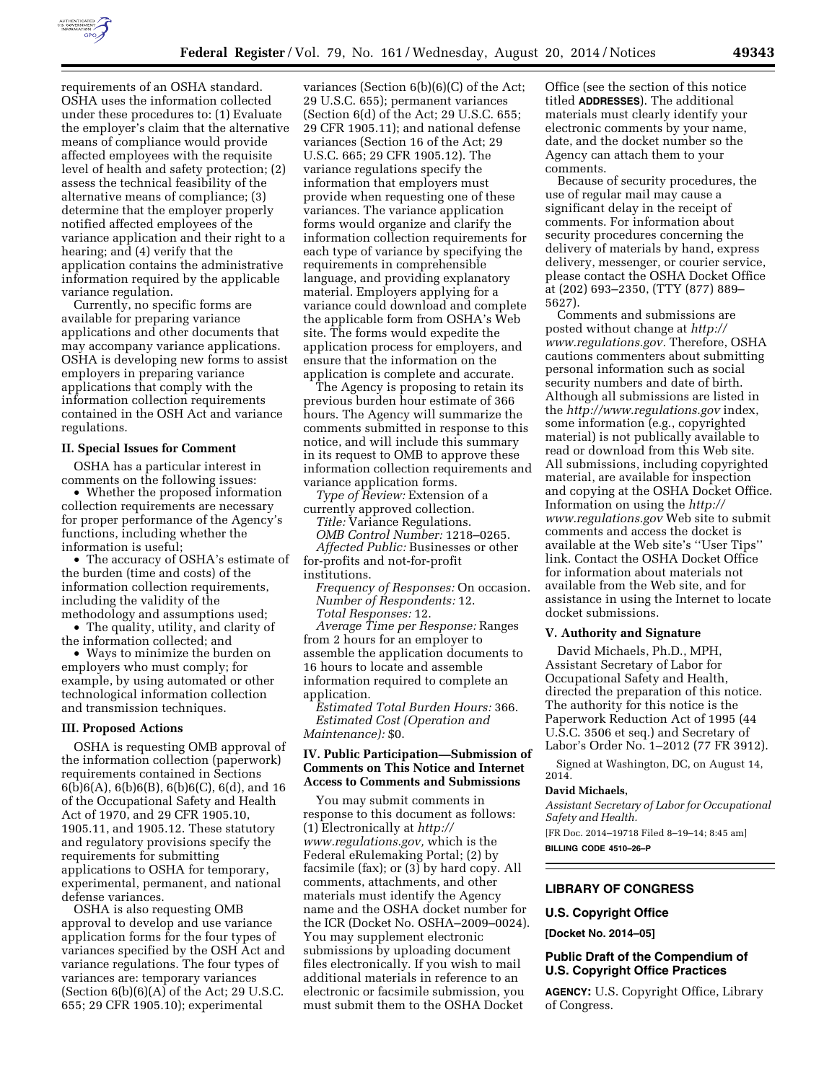

requirements of an OSHA standard. OSHA uses the information collected under these procedures to: (1) Evaluate the employer's claim that the alternative means of compliance would provide affected employees with the requisite level of health and safety protection; (2) assess the technical feasibility of the alternative means of compliance; (3) determine that the employer properly notified affected employees of the variance application and their right to a hearing; and (4) verify that the application contains the administrative information required by the applicable variance regulation.

Currently, no specific forms are available for preparing variance applications and other documents that may accompany variance applications. OSHA is developing new forms to assist employers in preparing variance applications that comply with the information collection requirements contained in the OSH Act and variance regulations.

### **II. Special Issues for Comment**

OSHA has a particular interest in comments on the following issues:

• Whether the proposed information collection requirements are necessary for proper performance of the Agency's functions, including whether the information is useful;

• The accuracy of OSHA's estimate of the burden (time and costs) of the information collection requirements, including the validity of the

methodology and assumptions used; • The quality, utility, and clarity of the information collected; and

• Ways to minimize the burden on employers who must comply; for example, by using automated or other technological information collection and transmission techniques.

### **III. Proposed Actions**

OSHA is requesting OMB approval of the information collection (paperwork) requirements contained in Sections 6(b)6(A), 6(b)6(B), 6(b)6(C), 6(d), and 16 of the Occupational Safety and Health Act of 1970, and 29 CFR 1905.10, 1905.11, and 1905.12. These statutory and regulatory provisions specify the requirements for submitting applications to OSHA for temporary, experimental, permanent, and national defense variances.

OSHA is also requesting OMB approval to develop and use variance application forms for the four types of variances specified by the OSH Act and variance regulations. The four types of variances are: temporary variances (Section  $6(b)(6)(A)$  of the Act; 29 U.S.C. 655; 29 CFR 1905.10); experimental

variances (Section 6(b)(6)(C) of the Act; 29 U.S.C. 655); permanent variances (Section 6(d) of the Act; 29 U.S.C. 655; 29 CFR 1905.11); and national defense variances (Section 16 of the Act; 29 U.S.C. 665; 29 CFR 1905.12). The variance regulations specify the information that employers must provide when requesting one of these variances. The variance application forms would organize and clarify the information collection requirements for each type of variance by specifying the requirements in comprehensible language, and providing explanatory material. Employers applying for a variance could download and complete the applicable form from OSHA's Web site. The forms would expedite the application process for employers, and ensure that the information on the application is complete and accurate.

The Agency is proposing to retain its previous burden hour estimate of 366 hours. The Agency will summarize the comments submitted in response to this notice, and will include this summary in its request to OMB to approve these information collection requirements and variance application forms.

*Type of Review:* Extension of a currently approved collection.

*Title:* Variance Regulations.

*OMB Control Number:* 1218–0265. *Affected Public:* Businesses or other for-profits and not-for-profit institutions.

*Frequency of Responses:* On occasion. *Number of Respondents:* 12. *Total Responses:* 12.

*Average Time per Response:* Ranges from 2 hours for an employer to assemble the application documents to 16 hours to locate and assemble information required to complete an application.

*Estimated Total Burden Hours:* 366. *Estimated Cost (Operation and Maintenance):* \$0.

# **IV. Public Participation—Submission of Comments on This Notice and Internet Access to Comments and Submissions**

You may submit comments in response to this document as follows: (1) Electronically at *[http://](http://www.regulations.gov) [www.regulations.gov,](http://www.regulations.gov)* which is the Federal eRulemaking Portal; (2) by facsimile (fax); or (3) by hard copy. All comments, attachments, and other materials must identify the Agency name and the OSHA docket number for the ICR (Docket No. OSHA–2009–0024). You may supplement electronic submissions by uploading document files electronically. If you wish to mail additional materials in reference to an electronic or facsimile submission, you must submit them to the OSHA Docket

Office (see the section of this notice titled **ADDRESSES**). The additional materials must clearly identify your electronic comments by your name, date, and the docket number so the Agency can attach them to your comments.

Because of security procedures, the use of regular mail may cause a significant delay in the receipt of comments. For information about security procedures concerning the delivery of materials by hand, express delivery, messenger, or courier service, please contact the OSHA Docket Office at (202) 693–2350, (TTY (877) 889– 5627).

Comments and submissions are posted without change at *[http://](http://www.regulations.gov) [www.regulations.gov.](http://www.regulations.gov)* Therefore, OSHA cautions commenters about submitting personal information such as social security numbers and date of birth. Although all submissions are listed in the *<http://www.regulations.gov>*index, some information (e.g., copyrighted material) is not publically available to read or download from this Web site. All submissions, including copyrighted material, are available for inspection and copying at the OSHA Docket Office. Information on using the *[http://](http://www.regulations.gov) [www.regulations.gov](http://www.regulations.gov)* Web site to submit comments and access the docket is available at the Web site's ''User Tips'' link. Contact the OSHA Docket Office for information about materials not available from the Web site, and for assistance in using the Internet to locate docket submissions.

### **V. Authority and Signature**

David Michaels, Ph.D., MPH, Assistant Secretary of Labor for Occupational Safety and Health, directed the preparation of this notice. The authority for this notice is the Paperwork Reduction Act of 1995 (44 U.S.C. 3506 et seq*.*) and Secretary of Labor's Order No. 1–2012 (77 FR 3912).

Signed at Washington, DC, on August 14, 2014.

# **David Michaels,**

*Assistant Secretary of Labor for Occupational Safety and Health.* 

[FR Doc. 2014–19718 Filed 8–19–14; 8:45 am] **BILLING CODE 4510–26–P** 

## **LIBRARY OF CONGRESS**

## **U.S. Copyright Office**

**[Docket No. 2014–05]** 

# **Public Draft of the Compendium of U.S. Copyright Office Practices**

**AGENCY:** U.S. Copyright Office, Library of Congress.